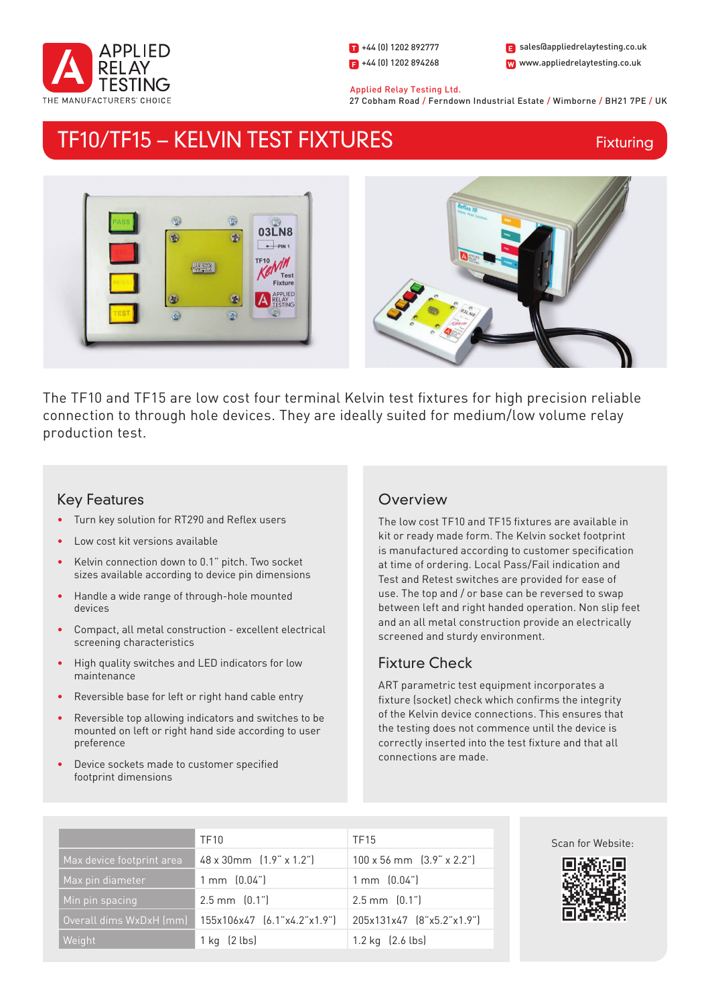

1 +44 (0) 1202 892777  $\Box$  +44 (0) 1202 894268

W www.appliedrelaytesting.co.uk sales@appliedrelaytesting.co.uk

 Applied Relay Testing Ltd. 27 Cobham Road / Ferndown Industrial Estate / Wimborne / BH21 7PE / UK

# TF10/TF15 – KELVIN TEST FIXTURES

**Fixturing** 



The TF10 and TF15 are low cost four terminal Kelvin test fixtures for high precision reliable connection to through hole devices. They are ideally suited for medium/low volume relay production test.

### Key Features

- Turn key solution for RT290 and Reflex users
- Low cost kit versions available
- Kelvin connection down to 0.1" pitch. Two socket sizes available according to device pin dimensions
- Handle a wide range of through-hole mounted devices
- Compact, all metal construction excellent electrical screening characteristics
- High quality switches and LED indicators for low maintenance
- Reversible base for left or right hand cable entry
- Reversible top allowing indicators and switches to be mounted on left or right hand side according to user preference
- Device sockets made to customer specified footprint dimensions

## **Overview**

The low cost TF10 and TF15 fixtures are available in kit or ready made form. The Kelvin socket footprint is manufactured according to customer specification at time of ordering. Local Pass/Fail indication and Test and Retest switches are provided for ease of use. The top and / or base can be reversed to swap between left and right handed operation. Non slip feet and an all metal construction provide an electrically screened and sturdy environment.

## Fixture Check

ART parametric test equipment incorporates a fixture (socket) check which confirms the integrity of the Kelvin device connections. This ensures that the testing does not commence until the device is correctly inserted into the test fixture and that all connections are made.

|                           | <b>TF10</b>                           | TF15                                    |
|---------------------------|---------------------------------------|-----------------------------------------|
| Max device footprint area | $48 \times 30$ mm $[1.9" \times 1.2"$ | $100 \times 56$ mm $(3.9" \times 2.2")$ |
| Max pin diameter          | $1 \text{ mm}$ $(0.04)$               | $1 \text{ mm}$ $[0.04$ "                |
| Min pin spacing           | $2.5$ mm $[0.1$ "                     | $2.5$ mm $[0.1$ "                       |
| Overall dims WxDxH (mm)   | 155x106x47 [6.1"x4.2"x1.9"]           | 205x131x47 (8"x5.2"x1.9")               |
| Weight                    | $1$ kg $(2$ lbs)                      | 1.2 kg $(2.6 \text{ lbs})$              |

Scan for Website: